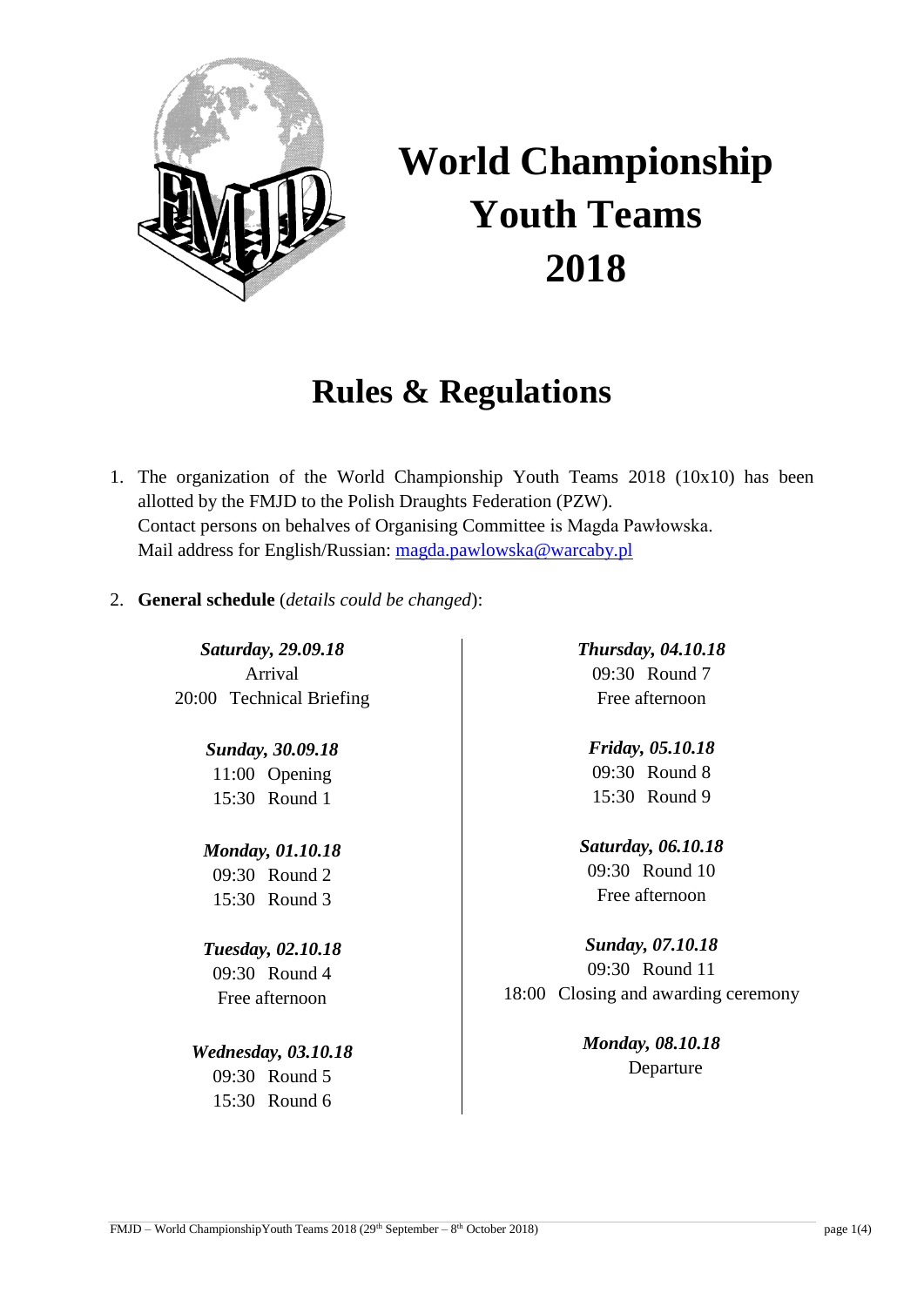

# **World Championship Youth Teams 2018**

## **Rules & Regulations**

- 1. The organization of the World Championship Youth Teams 2018 (10x10) has been allotted by the FMJD to the Polish Draughts Federation (PZW). Contact persons on behalves of Organising Committee is Magda Pawłowska. Mail address for English/Russian: [magda.pawlowska@warcaby.pl](mailto:magda.pawlowska@warcaby.pl)
- 2. **General schedule** (*details could be changed*):

*Saturday, 29.09.18* Arrival 20:00 Technical Briefing

> *Sunday, 30.09.18* 11:00 Opening 15:30 Round 1

*Monday, 01.10.18* 09:30 Round 2 15:30 Round 3

*Tuesday, 02.10.18* 09:30 Round 4 Free afternoon

*Wednesday, 03.10.18* 09:30 Round 5 15:30 Round 6

*Thursday, 04.10.18* 09:30 Round 7 Free afternoon

*Friday, 05.10.18* 09:30 Round 8 15:30 Round 9

*Saturday, 06.10.18* 09:30 Round 10 Free afternoon

*Sunday, 07.10.18* 09:30 Round 11 18:00 Closing and awarding ceremony

> *Monday, 08.10.18* Departure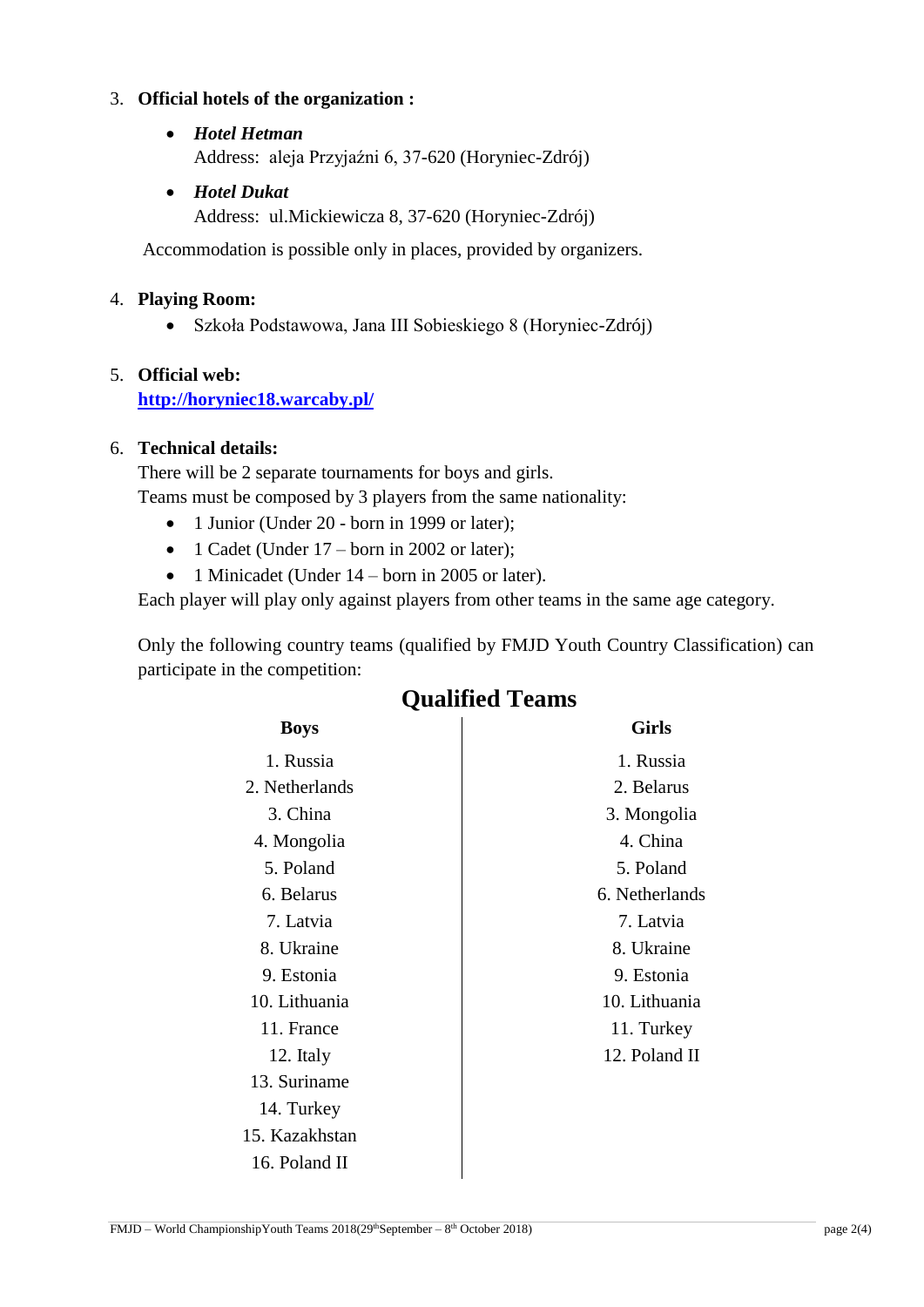### 3. **Official hotels of the organization :**

- *Hotel Hetman* Address: aleja Przyjaźni 6, 37-620 (Horyniec-Zdrój)
- *Hotel Dukat*
	- Address: ul.Mickiewicza 8, 37-620 (Horyniec-Zdrój)

Accommodation is possible only in places, provided by organizers.

#### 4. **Playing Room:**

Szkoła Podstawowa, Jana III Sobieskiego 8 (Horyniec-Zdrój)

### 5. **Official web: <http://horyniec18.warcaby.pl/>**

### 6. **Technical details:**

There will be 2 separate tournaments for boys and girls. Teams must be composed by 3 players from the same nationality:

- 1 Junior (Under 20 born in 1999 or later);
- 1 Cadet (Under  $17$  born in 2002 or later);
- 1 Minicadet (Under 14 born in 2005 or later).

Each player will play only against players from other teams in the same age category.

Only the following country teams (qualified by FMJD Youth Country Classification) can participate in the competition:

| <b>Boys</b>    | <b>Girls</b>   |
|----------------|----------------|
| 1. Russia      | 1. Russia      |
| 2. Netherlands | 2. Belarus     |
| 3. China       | 3. Mongolia    |
| 4. Mongolia    | 4. China       |
| 5. Poland      | 5. Poland      |
| 6. Belarus     | 6. Netherlands |
| 7. Latvia      | 7. Latvia      |
| 8. Ukraine     | 8. Ukraine     |
| 9. Estonia     | 9. Estonia     |
| 10. Lithuania  | 10. Lithuania  |
| 11. France     | 11. Turkey     |
| 12. Italy      | 12. Poland II  |
| 13. Suriname   |                |
| 14. Turkey     |                |
| 15. Kazakhstan |                |
|                |                |

### **Qualified Teams**

16. Poland II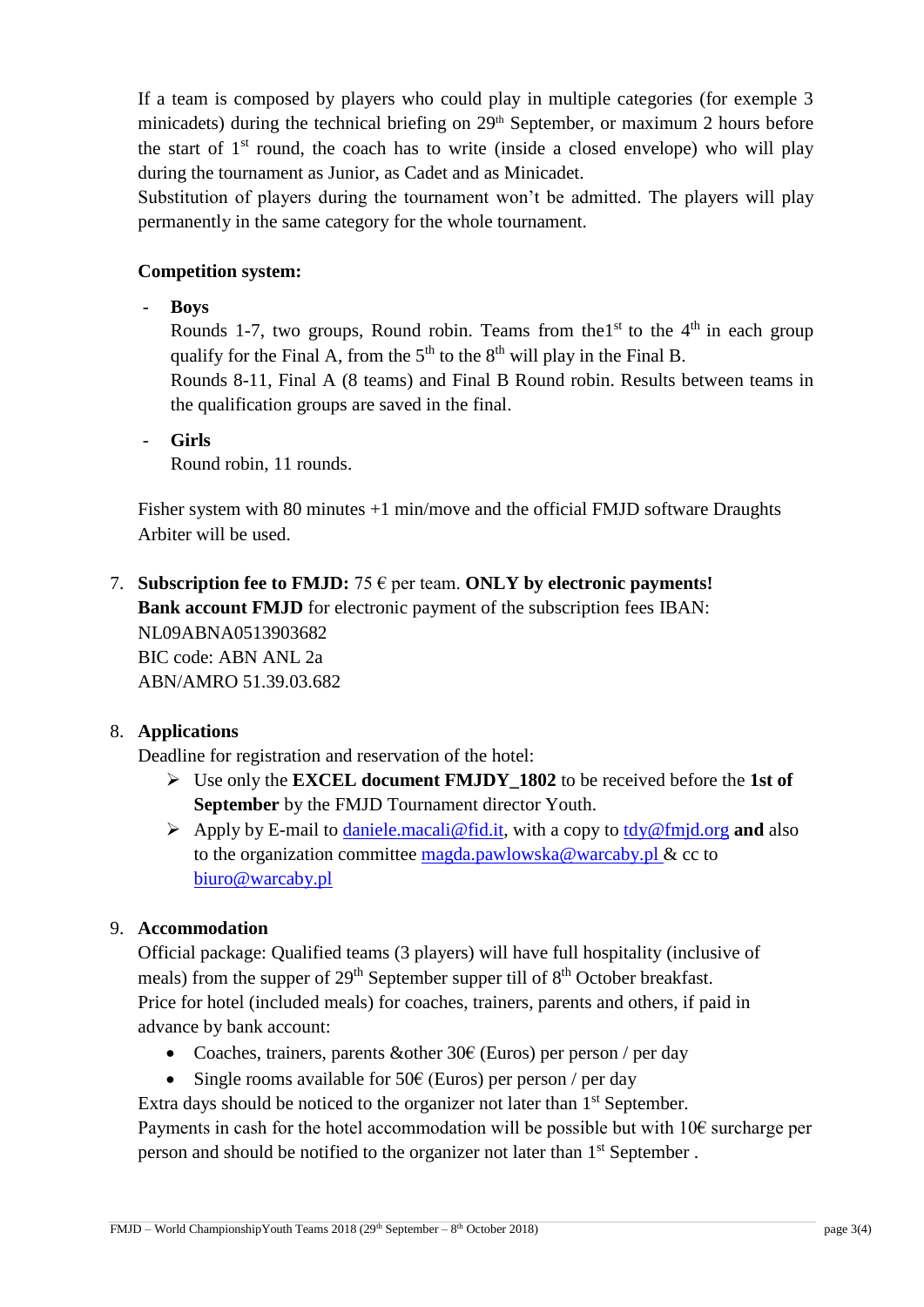If a team is composed by players who could play in multiple categories (for exemple 3 minicadets) during the technical briefing on 29<sup>th</sup> September, or maximum 2 hours before the start of  $1<sup>st</sup>$  round, the coach has to write (inside a closed envelope) who will play during the tournament as Junior, as Cadet and as Minicadet.

Substitution of players during the tournament won't be admitted. The players will play permanently in the same category for the whole tournament.

### **Competition system:**

- **Boys**

Rounds 1-7, two groups, Round robin. Teams from the 1st to the  $4<sup>th</sup>$  in each group qualify for the Final A, from the  $5<sup>th</sup>$  to the  $8<sup>th</sup>$  will play in the Final B.

Rounds 8-11, Final A (8 teams) and Final B Round robin. Results between teams in the qualification groups are saved in the final.

- **Girls**

Round robin, 11 rounds.

Fisher system with 80 minutes +1 min/move and the official FMJD software Draughts Arbiter will be used.

7. **Subscription fee to FMJD:**  $75 \in \text{per team}$ . **ONLY** by electronic payments! **Bank account FMJD** for electronic payment of the subscription fees IBAN: NL09ABNA0513903682 BIC code: ABN ANL 2a ABN/AMRO 51.39.03.682

### 8. **Applications**

Deadline for registration and reservation of the hotel:

- Use only the **EXCEL document FMJDY\_1802** to be received before the **1st of September** by the FMJD Tournament director Youth.
- Apply by E-mail to [daniele.macali@fid.it,](mailto:daniele.macali@fid.it) with a copy to [tdy@fmjd.org](mailto:tdy@fmjd.org) **and** also to the organization committee [magda.pawlowska@warcaby.pl](mailto:magda.pawlowska@warcaby.pl) & cc to [biuro@warcaby.pl](mailto:biuro@warcaby.pl)

### 9. **Accommodation**

Official package: Qualified teams (3 players) will have full hospitality (inclusive of meals) from the supper of  $29<sup>th</sup>$  September supper till of  $8<sup>th</sup>$  October breakfast. Price for hotel (included meals) for coaches, trainers, parents and others, if paid in advance by bank account:

- Coaches, trainers, parents & other 30 $\epsilon$  (Euros) per person / per day
- Single rooms available for 50 $\epsilon$  (Euros) per person / per day

Extra days should be noticed to the organizer not later than 1<sup>st</sup> September.

Payments in cash for the hotel accommodation will be possible but with  $10 \epsilon$  surcharge per person and should be notified to the organizer not later than 1<sup>st</sup> September.